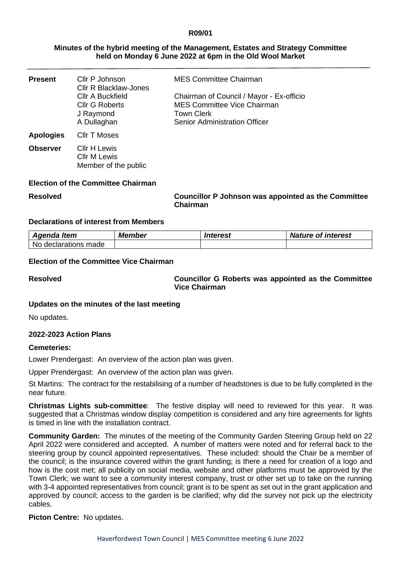### **R09/01**

### **Minutes of the hybrid meeting of the Management, Estates and Strategy Committee held on Monday 6 June 2022 at 6pm in the Old Wool Market**

| <b>Present</b>   | Cllr P Johnson<br><b>Cllr R Blacklaw-Jones</b>                               | <b>MES Committee Chairman</b>                                                                                                               |
|------------------|------------------------------------------------------------------------------|---------------------------------------------------------------------------------------------------------------------------------------------|
|                  | <b>CIIr A Buckfield</b><br><b>Cllr G Roberts</b><br>J Raymond<br>A Dullaghan | Chairman of Council / Mayor - Ex-officio<br><b>MES Committee Vice Chairman</b><br><b>Town Clerk</b><br><b>Senior Administration Officer</b> |
| <b>Apologies</b> | <b>CIIr T Moses</b>                                                          |                                                                                                                                             |
| <b>Observer</b>  | Cllr H Lewis<br><b>CIIr M Lewis</b><br>Member of the public                  |                                                                                                                                             |

#### **Election of the Committee Chairman**

**Resolved Councillor P Johnson was appointed as the Committee Chairman**

#### **Declarations of interest from Members**

| Agenda Item          | <b>Member</b> | <i><b>Interest</b></i> | <b>Nature of interest</b> |
|----------------------|---------------|------------------------|---------------------------|
| No declarations made |               |                        |                           |

# **Election of the Committee Vice Chairman**

**Resolved Councillor G Roberts was appointed as the Committee Vice Chairman**

# **Updates on the minutes of the last meeting**

No updates.

#### **2022-2023 Action Plans**

#### **Cemeteries:**

Lower Prendergast: An overview of the action plan was given.

Upper Prendergast: An overview of the action plan was given.

St Martins: The contract for the restabilising of a number of headstones is due to be fully completed in the near future.

**Christmas Lights sub-committee**: The festive display will need to reviewed for this year. It was suggested that a Christmas window display competition is considered and any hire agreements for lights is timed in line with the installation contract.

**Community Garden:** The minutes of the meeting of the Community Garden Steering Group held on 22 April 2022 were considered and accepted. A number of matters were noted and for referral back to the steering group by council appointed representatives. These included: should the Chair be a member of the council; is the insurance covered within the grant funding; is there a need for creation of a logo and how is the cost met; all publicity on social media, website and other platforms must be approved by the Town Clerk; we want to see a community interest company, trust or other set up to take on the running with 3-4 appointed representatives from council; grant is to be spent as set out in the grant application and approved by council; access to the garden is be clarified; why did the survey not pick up the electricity cables.

#### **Picton Centre:** No updates.